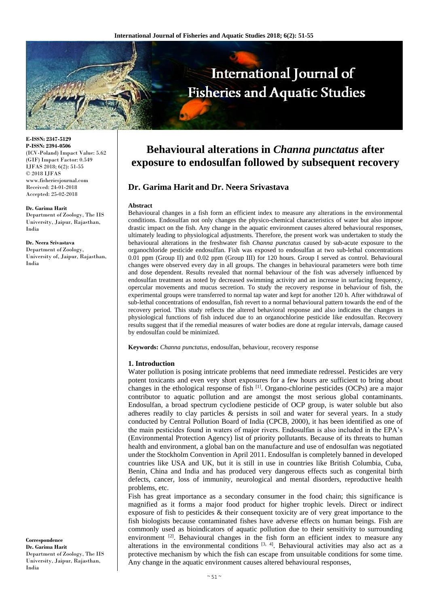

**E-ISSN: 2347-5129 P-ISSN: 2394-0506** (ICV-Poland) Impact Value: 5.62 (GIF) Impact Factor: 0.549 IJFAS 2018; 6(2): 51-55 © 2018 IJFAS www.fisheriesjournal.com Received: 24-01-2018 Accepted: 25-02-2018

**Dr. Garima Harit** Department of Zoology, The IIS University, Jaipur, Rajasthan, India

**Dr. Neera Srivastava** Department of Zoology, University of, Jaipur, Rajasthan, India

**Correspondence Dr. Garima Harit** Department of Zoology, The IIS University, Jaipur, Rajasthan, India

# **Behavioural alterations in** *Channa punctatus* **after exposure to endosulfan followed by subsequent recovery**

# **Dr. Garima Harit and Dr. Neera Srivastava**

#### **Abstract**

Behavioural changes in a fish form an efficient index to measure any alterations in the environmental conditions. Endosulfan not only changes the physico-chemical characteristics of water but also impose drastic impact on the fish. Any change in the aquatic environment causes altered behavioural responses, ultimately leading to physiological adjustments. Therefore, the present work was undertaken to study the behavioural alterations in the freshwater fish *Channa punctatus* caused by sub-acute exposure to the organochloride pesticide endosulfan. Fish was exposed to endosulfan at two sub-lethal concentrations 0.01 ppm (Group II) and 0.02 ppm (Group III) for 120 hours. Group I served as control. Behavioural changes were observed every day in all groups. The changes in behavioural parameters were both time and dose dependent. Results revealed that normal behaviour of the fish was adversely influenced by endosulfan treatment as noted by decreased swimming activity and an increase in surfacing frequency, opercular movements and mucus secretion. To study the recovery response in behaviour of fish, the experimental groups were transferred to normal tap water and kept for another 120 h. After withdrawal of sub-lethal concentrations of endosulfan, fish revert to a normal behavioural pattern towards the end of the recovery period. This study reflects the altered behavioral response and also indicates the changes in physiological functions of fish induced due to an organochlorine pesticide like endosulfan. Recovery results suggest that if the remedial measures of water bodies are done at regular intervals, damage caused by endosulfan could be minimized.

**Keywords:** *Channa punctatus*, endosulfan, behaviour, recovery response

#### **1. Introduction**

Water pollution is posing intricate problems that need immediate redressel. Pesticides are very potent toxicants and even very short exposures for a few hours are sufficient to bring about changes in the ethological response of fish <sup>[1]</sup>. Organo-chlorine pesticides (OCPs) are a major contributor to aquatic pollution and are amongst the most serious global contaminants. Endosulfan, a broad spectrum cyclodiene pesticide of OCP group, is water soluble but also adheres readily to clay particles & persists in soil and water for several years. In a study conducted by Central Pollution Board of India (CPCB, 2000), it has been identified as one of the main pesticides found in waters of major rivers. Endosulfan is also included in the EPA's (Environmental Protection Agency) list of priority pollutants. Because of its threats to human health and environment, a global ban on the manufacture and use of endosulfan was negotiated under the Stockholm Convention in April 2011. Endosulfan is completely banned in developed countries like USA and UK, but it is still in use in countries like British Columbia, Cuba, Benin, China and India and has produced very dangerous effects such as congenital birth defects, cancer, loss of immunity, neurological and mental disorders, reproductive health problems, etc.

Fish has great importance as a secondary consumer in the food chain; this significance is magnified as it forms a major food product for higher trophic levels. Direct or indirect exposure of fish to pesticides & their consequent toxicity are of very great importance to the fish biologists because contaminated fishes have adverse effects on human beings. Fish are commonly used as bioindicators of aquatic pollution due to their sensitivity to surrounding environment <sup>[2]</sup>. Behavioural changes in the fish form an efficient index to measure any alterations in the environmental conditions  $[3, 4]$ . Behavioural activities may also act as a protective mechanism by which the fish can escape from unsuitable conditions for some time. Any change in the aquatic environment causes altered behavioural responses,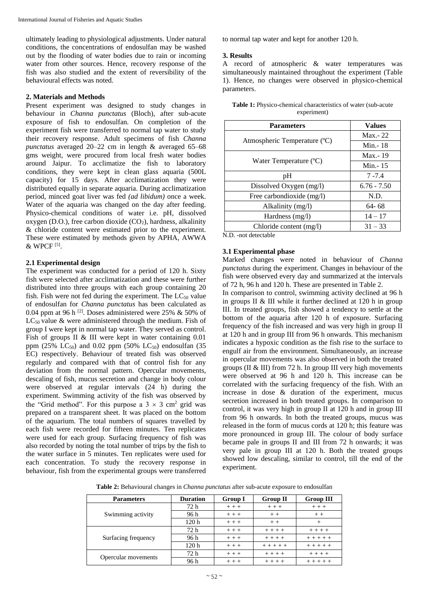ultimately leading to physiological adjustments. Under natural conditions, the concentrations of endosulfan may be washed out by the flooding of water bodies due to rain or incoming water from other sources. Hence, recovery response of the fish was also studied and the extent of reversibility of the behavioural effects was noted.

## **2. Materials and Methods**

Present experiment was designed to study changes in behaviour in *Channa punctatus* (Bloch), after sub-acute exposure of fish to endosulfan. On completion of the experiment fish were transferred to normal tap water to study their recovery response. Adult specimens of fish *Channa punctatus* averaged 20–22 cm in length & averaged 65–68 gms weight, were procured from local fresh water bodies around Jaipur. To acclimatize the fish to laboratory conditions, they were kept in clean glass aquaria (500L capacity) for 15 days. After acclimatization they were distributed equally in separate aquaria. During acclimatization period, minced goat liver was fed *(ad libidum)* once a week. Water of the aquaria was changed on the day after feeding. Physico-chemical conditions of water i.e. pH, dissolved oxygen (D.O.), free carbon dioxide  $(CO<sub>2</sub>)$ , hardness, alkalinity & chloride content were estimated prior to the experiment. These were estimated by methods given by APHA, AWWA & WPCF [5] .

## **2.1 Experimental design**

The experiment was conducted for a period of 120 h. Sixty fish were selected after acclimatization and these were further distributed into three groups with each group containing 20 fish. Fish were not fed during the experiment. The  $LC_{50}$  value of endosulfan for *Channa punctatus* has been calculated as 0.04 ppm at 96 h  $^{[2]}$ . Doses administered were 25% & 50% of  $LC_{50}$  value & were administered through the medium. Fish of group I were kept in normal tap water. They served as control. Fish of groups II & III were kept in water containing 0.01 ppm (25% LC<sub>50</sub>) and 0.02 ppm (50% LC<sub>50</sub>) endosulfan (35 EC) respectively. Behaviour of treated fish was observed regularly and compared with that of control fish for any deviation from the normal pattern. Opercular movements, descaling of fish, mucus secretion and change in body colour were observed at regular intervals (24 h) during the experiment. Swimming activity of the fish was observed by the "Grid method". For this purpose a  $3 \times 3$  cm<sup>2</sup> grid was prepared on a transparent sheet. It was placed on the bottom of the aquarium. The total numbers of squares travelled by each fish were recorded for fifteen minutes. Ten replicates were used for each group. Surfacing frequency of fish was also recorded by noting the total number of trips by the fish to the water surface in 5 minutes. Ten replicates were used for each concentration. To study the recovery response in behaviour, fish from the experimental groups were transferred to normal tap water and kept for another 120 h.

## **3. Results**

A record of atmospheric & water temperatures was simultaneously maintained throughout the experiment (Table 1). Hence, no changes were observed in physico-chemical parameters.

| <b>Values</b> |
|---------------|
| $Max - 22$    |
| Min. - 18     |
| Max.-19       |
| Min. - 15     |
| $7 - 7.4$     |
| $6.76 - 7.50$ |
| N.D.          |
| $64 - 68$     |
| $14 - 17$     |
| $31 - 33$     |
|               |

| <b>Table 1:</b> Physico-chemical characteristics of water (sub-acute |
|----------------------------------------------------------------------|
| experiment)                                                          |

N.D. -not detectable

# **3.1 Experimental phase**

Marked changes were noted in behaviour of *Channa punctatus* during the experiment. Changes in behaviour of the fish were observed every day and summarized at the intervals of 72 h, 96 h and 120 h. These are presented in Table 2.

In comparison to control, swimming activity declined at 96 h in groups II & III while it further declined at 120 h in group III. In treated groups, fish showed a tendency to settle at the bottom of the aquaria after 120 h of exposure. Surfacing frequency of the fish increased and was very high in group II at 120 h and in group III from 96 h onwards. This mechanism indicates a hypoxic condition as the fish rise to the surface to engulf air from the environment. Simultaneously, an increase in opercular movements was also observed in both the treated groups (II & III) from 72 h. In group III very high movements were observed at 96 h and 120 h. This increase can be correlated with the surfacing frequency of the fish. With an increase in dose & duration of the experiment, mucus secretion increased in both treated groups. In comparison to control, it was very high in group  $\overline{II}$  at 120 h and in group  $\overline{III}$ from 96 h onwards. In both the treated groups, mucus was released in the form of mucus cords at 120 h; this feature was more pronounced in group III. The colour of body surface became pale in groups II and III from 72 h onwards; it was very pale in group III at 120 h. Both the treated groups showed low descaling, similar to control, till the end of the experiment.

**Table 2:** Behavioural changes in *Channa punctatus* after sub-acute exposure to endosulfan

| <b>Parameters</b>   | <b>Duration</b>  | <b>Group I</b> | <b>Group II</b> | <b>Group III</b> |
|---------------------|------------------|----------------|-----------------|------------------|
| Swimming activity   | 72h              | $+ + +$        | $+++$           | $+ + +$          |
|                     | 96 h             | $+ + +$        | $+ +$           | $+ +$            |
|                     | 120 <sub>h</sub> | $+ + +$        | $+ +$           |                  |
| Surfacing frequency | 72 h             | $+ + +$        | $+ + + +$       | $+ + + +$        |
|                     | 96 h             | $+ + +$        | $+ + + +$       | $+ + + + +$      |
|                     | 120 <sub>h</sub> | $+ + +$        | $+ + + + +$     | $+ + + + +$      |
| Opercular movements | 72h              | $+ + +$        | $+ + + +$       | $+ + + +$        |
|                     | 96 h             | $+ + +$        | $+ + + +$       | $+ + + + +$      |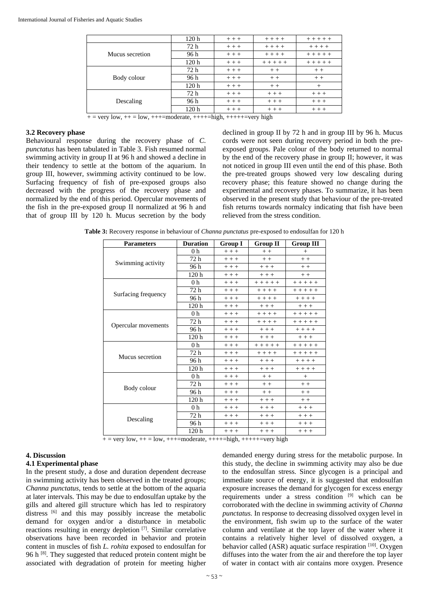|                 | 120 <sub>h</sub> | $+++$   | $+ + + +$   | $+ + + + +$ |
|-----------------|------------------|---------|-------------|-------------|
| Mucus secretion | 72 h             | $+ + +$ | $+ + + +$   | $+ + + +$   |
|                 | 96 h             | $+ + +$ | $+ + + +$   | $+ + + + +$ |
|                 | 120 <sub>h</sub> | $++ +$  | $+ + + + +$ | $+ + + + +$ |
| Body colour     | 72 h             | $++ +$  | $+ +$       | $++$        |
|                 | 96 h             | $+ + +$ | $+ +$       | $+ +$       |
|                 | 120 <sub>h</sub> | $+ + +$ | $+ +$       | $^{+}$      |
| Descaling       | 72 h             | $++ +$  | $++ +$      | $++$        |
|                 | 96 h             | $+++$   | $+ + +$     | $+++$       |
|                 | 120 <sub>h</sub> | $+ + +$ | $+ + +$     | $+ + +$     |

 $+=$  very low,  $++$  = low,  $++$  = moderate,  $++$  + = high,  $++$  + + + = very high

#### **3.2 Recovery phase**

Behavioural response during the recovery phase of *C. punctatus* has been tabulated in Table 3. Fish resumed normal swimming activity in group II at 96 h and showed a decline in their tendency to settle at the bottom of the aquarium. In group III, however, swimming activity continued to be low. Surfacing frequency of fish of pre-exposed groups also decreased with the progress of the recovery phase and normalized by the end of this period. Opercular movements of the fish in the pre-exposed group II normalized at 96 h and that of group III by 120 h. Mucus secretion by the body

declined in group II by 72 h and in group III by 96 h. Mucus cords were not seen during recovery period in both the preexposed groups. Pale colour of the body returned to normal by the end of the recovery phase in group II; however, it was not noticed in group III even until the end of this phase. Both the pre-treated groups showed very low descaling during recovery phase; this feature showed no change during the experimental and recovery phases. To summarize, it has been observed in the present study that behaviour of the pre-treated fish returns towards normalcy indicating that fish have been relieved from the stress condition.

**Table 3:** Recovery response in behaviour of *Channa punctatus* pre-exposed to endosulfan for 120 h

| <b>Parameters</b>   | <b>Duration</b>  | <b>Group I</b> | <b>Group II</b> | <b>Group III</b> |
|---------------------|------------------|----------------|-----------------|------------------|
| Swimming activity   | 0 h              | $+++$          | $+ +$           | $^{+}$           |
|                     | 72 h             | $+++$          | $+ +$           | $+ +$            |
|                     | 96 h             | $+ + +$        | $+++$           | $++$             |
|                     | 120 h            | $++$           | $++ +$          | $++$             |
|                     | 0 <sub>h</sub>   | $+++$          | $+ + + + +$     | $+ + + + +$      |
|                     | 72 h             | $++$           | $+ + + +$       | $+ + + + +$      |
| Surfacing frequency | 96 h             | $+++$          | $+ + + +$       | $+ + + +$        |
|                     | 120 <sub>h</sub> | $+++$          | $+++$           | $+ + +$          |
|                     | 0 <sub>h</sub>   | $+++$          | $+ + + +$       | $+ + + + +$      |
|                     | 72 h             | $+++$          | $+ + + +$       | $+++++$          |
| Opercular movements | 96 h             | $+++$          | $+++$           | $+ + + +$        |
|                     | 120 h            | $++$           | $++ +$          | $+ + +$          |
|                     | 0 <sub>h</sub>   | $+++$          | $+ + + + +$     | $+ + + + +$      |
|                     | 72 h             | $++$           | $+ + + +$       | $+ + + + +$      |
| Mucus secretion     | 96 h             | $++$           | $++$            | $+ + + +$        |
|                     | 120 <sub>h</sub> | $++$           | $++$            | $+ + + +$        |
|                     | 0 <sub>h</sub>   | $++$           | $++$            | $^{+}$           |
| Body colour         | 72 h             | $++$           | $+ +$           | $+ +$            |
|                     | 96 h             | $+ + +$        | $++$            | $+ +$            |
|                     | 120h             | $++$           | $++ +$          | $++$             |
| Descaling           | 0 <sub>h</sub>   | $++$           | $++ +$          | $++ +$           |
|                     | 72 h             | $++$           | $++ +$          | $++ +$           |
|                     | 96 h             | $++$           | $++ +$          | $+ + +$          |
|                     | 120 h            | $+++$          | $++ +$          | $++ +$           |

 $+=$  very low,  $++$  = low,  $++$  = moderate,  $++$  + = high,  $++$  + + + = very high

#### **4. Discussion**

## **4.1 Experimental phase**

In the present study, a dose and duration dependent decrease in swimming activity has been observed in the treated groups; *Channa punctatus*, tends to settle at the bottom of the aquaria at later intervals. This may be due to endosulfan uptake by the gills and altered gill structure which has led to respiratory distress <sup>[6]</sup> and this may possibly increase the metabolic demand for oxygen and/or a disturbance in metabolic reactions resulting in energy depletion [7]. Similar correlative observations have been recorded in behavior and protein content in muscles of fish *L. rohita* exposed to endosulfan for 96 h <sup>[8]</sup>. They suggested that reduced protein content might be associated with degradation of protein for meeting higher

demanded energy during stress for the metabolic purpose. In this study, the decline in swimming activity may also be due to the endosulfan stress. Since glycogen is a principal and immediate source of energy, it is suggested that endosulfan exposure increases the demand for glycogen for excess energy requirements under a stress condition [9] which can be corroborated with the decline in swimming activity of *Channa punctatus.* In response to decreasing dissolved oxygen level in the environment, fish swim up to the surface of the water column and ventilate at the top layer of the water where it contains a relatively higher level of dissolved oxygen, a behavior called (ASR) aquatic surface respiration [10]. Oxygen diffuses into the water from the air and therefore the top layer of water in contact with air contains more oxygen. Presence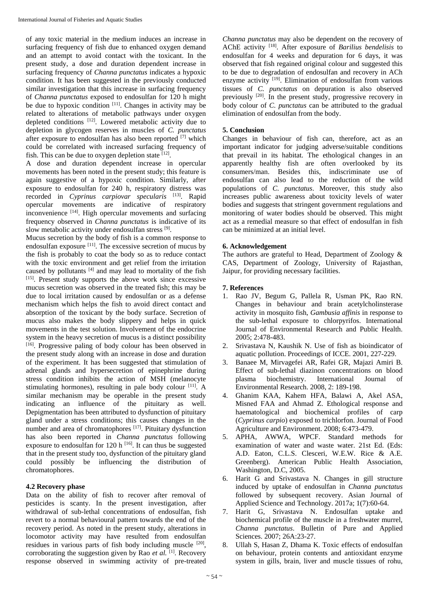of any toxic material in the medium induces an increase in surfacing frequency of fish due to enhanced oxygen demand and an attempt to avoid contact with the toxicant. In the present study, a dose and duration dependent increase in surfacing frequency of *Channa punctatus* indicates a hypoxic condition. It has been suggested in the previously conducted similar investigation that this increase in surfacing frequency of *Channa punctatus* exposed to endosulfan for 120 h might be due to hypoxic condition  $[11]$ . Changes in activity may be related to alterations of metabolic pathways under oxygen depleted conditions [12]. Lowered metabolic activity due to depletion in glycogen reserves in muscles of *C. punctatus* after exposure to endosulfan has also been reported  $[7]$  which could be correlated with increased surfacing frequency of fish. This can be due to oxygen depletion state  $[12]$ .

A dose and duration dependent increase in opercular movements has been noted in the present study; this feature is again suggestive of a hypoxic condition. Similarly, after exposure to endosulfan for 240 h, respiratory distress was recorded in *Cyprinus carpiovar specularis* [13]. Rapid opercular movements are indicative of respiratory inconvenience [14]. High opercular movements and surfacing frequency observed in *Channa punctatus* is indicative of its slow metabolic activity under endosulfan stress [9].

Mucus secretion by the body of fish is a common response to endosulfan exposure [11]. The excessive secretion of mucus by the fish is probably to coat the body so as to reduce contact with the toxic environment and get relief from the irritation caused by pollutants [4] and may lead to mortality of the fish [15]. Present study supports the above work since excessive mucus secretion was observed in the treated fish; this may be due to local irritation caused by endosulfan or as a defense mechanism which helps the fish to avoid direct contact and absorption of the toxicant by the body surface. Secretion of mucus also makes the body slippery and helps in quick movements in the test solution. Involvement of the endocrine system in the heavy secretion of mucus is a distinct possibility [16]. Progressive paling of body colour has been observed in the present study along with an increase in dose and duration of the experiment. It has been suggested that stimulation of adrenal glands and hypersecretion of epinephrine during stress condition inhibits the action of MSH (melanocyte stimulating hormones), resulting in pale body colour  $[11]$ . A similar mechanism may be operable in the present study indicating an influence of the pituitary as well. Depigmentation has been attributed to dysfunction of pituitary gland under a stress conditions; this causes changes in the number and area of chromatophores<sup>[17]</sup>. Pituitary dysfunction has also been reported in *Channa punctatus* following exposure to endosulfan for 120 h  $^{[16]}$ . It can thus be suggested that in the present study too, dysfunction of the pituitary gland could possibly be influencing the distribution of chromatophores.

## **4.2 Recovery phase**

Data on the ability of fish to recover after removal of pesticides is scanty. In the present investigation, after withdrawal of sub-lethal concentrations of endosulfan, fish revert to a normal behavioural pattern towards the end of the recovery period. As noted in the present study, alterations in locomotor activity may have resulted from endosulfan residues in various parts of fish body including muscle [20], corroborating the suggestion given by Rao *et al.* [1]. Recovery response observed in swimming activity of pre-treated

*Channa punctatus* may also be dependent on the recovery of AChE activity [18] . After exposure of *Barilius bendelisis* to endosulfan for 4 weeks and depuration for 6 days, it was observed that fish regained original colour and suggested this to be due to degradation of endosulfan and recovery in ACh enzyme activity<sup>[19]</sup>. Elimination of endosulfan from various tissues of *C. punctatus* on depuration is also observed previously <sup>[20]</sup>. In the present study, progressive recovery in body colour of *C. punctatus* can be attributed to the gradual elimination of endosulfan from the body.

# **5. Conclusion**

Changes in behaviour of fish can, therefore, act as an important indicator for judging adverse/suitable conditions that prevail in its habitat. The ethological changes in an apparently healthy fish are often overlooked by its consumers/man. Besides this, indiscriminate use of endosulfan can also lead to the reduction of the wild populations of *C. punctatus*. Moreover, this study also increases public awareness about toxicity levels of water bodies and suggests that stringent government regulations and monitoring of water bodies should be observed. This might act as a remedial measure so that effect of endosulfan in fish can be minimized at an initial level.

# **6. Acknowledgement**

The authors are grateful to Head, Department of Zoology & CAS, Department of Zoology, University of Rajasthan, Jaipur, for providing necessary facilities.

# **7. References**

- 1. Rao JV, Begum G, Pallela R, Usman PK, Rao RN. Changes in behaviour and brain acetylcholinsterase activity in mosquito fish, *Gambusia affinis* in response to the sub-lethal exposure to chlorpyrifos. International Journal of Environmental Research and Public Health. 2005; 2:478-483.
- 2. Srivastava N, Kaushik N. Use of fish as bioindicator of aquatic pollution. Proceedings of ICCE. 2001, 227-229.
- 3. Banaee M, Mirvagefei AR, Rafei GR, Majazi Amiri B. Effect of sub-lethal diazinon concentrations on blood plasma biochemistry. International Journal of Environmental Research. 2008, 2: 189-198.
- 4. Ghanim KAA, Kahem HFA, Balawi A, Akel ASA, Misned FAA and Ahmad Z. Ethological response and haematological and biochemical profiles of carp (*Cyprinus carpio*) exposed to trichlorfon. Journal of Food Agriculture and Environment. 2008; 6:473-479.
- 5. APHA, AWWA, WPCF. Standard methods for examination of water and waste water. 21st Ed. (Eds: A.D. Eaton, C.L.S. Clesceri, W.E.W. Rice & A.E. Greenberg). American Public Health Association, Washington, D.C, 2005.
- 6. Harit G and Srivastava N. Changes in gill structure induced by uptake of endosulfan in *Channa punctatus* followed by subsequent recovery. Asian Journal of Applied Science and Technology. 2017a; 1(7):60-64.
- 7. Harit G, Srivastava N. Endosulfan uptake and biochemical profile of the muscle in a freshwater murrel, *Channa punctatus*. Bulletin of Pure and Applied Sciences. 2007; 26A:23-27.
- 8. Ullah S, Hasan Z, Dhama K. Toxic effects of endosulfan on behaviour, protein contents and antioxidant enzyme system in gills, brain, liver and muscle tissues of rohu,